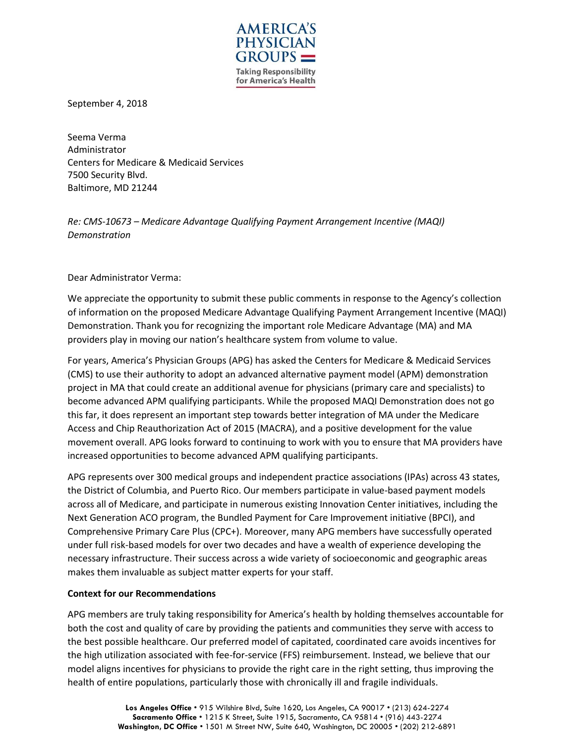

September 4, 2018

Seema Verma Administrator Centers for Medicare & Medicaid Services 7500 Security Blvd. Baltimore, MD 21244

*Re: CMS-10673 – Medicare Advantage Qualifying Payment Arrangement Incentive (MAQI) Demonstration*

Dear Administrator Verma:

We appreciate the opportunity to submit these public comments in response to the Agency's collection of information on the proposed Medicare Advantage Qualifying Payment Arrangement Incentive (MAQI) Demonstration. Thank you for recognizing the important role Medicare Advantage (MA) and MA providers play in moving our nation's healthcare system from volume to value.

For years, America's Physician Groups (APG) has asked the Centers for Medicare & Medicaid Services (CMS) to use their authority to adopt an advanced alternative payment model (APM) demonstration project in MA that could create an additional avenue for physicians (primary care and specialists) to become advanced APM qualifying participants. While the proposed MAQI Demonstration does not go this far, it does represent an important step towards better integration of MA under the Medicare Access and Chip Reauthorization Act of 2015 (MACRA), and a positive development for the value movement overall. APG looks forward to continuing to work with you to ensure that MA providers have increased opportunities to become advanced APM qualifying participants.

APG represents over 300 medical groups and independent practice associations (IPAs) across 43 states, the District of Columbia, and Puerto Rico. Our members participate in value-based payment models across all of Medicare, and participate in numerous existing Innovation Center initiatives, including the Next Generation ACO program, the Bundled Payment for Care Improvement initiative (BPCI), and Comprehensive Primary Care Plus (CPC+). Moreover, many APG members have successfully operated under full risk-based models for over two decades and have a wealth of experience developing the necessary infrastructure. Their success across a wide variety of socioeconomic and geographic areas makes them invaluable as subject matter experts for your staff.

## **Context for our Recommendations**

APG members are truly taking responsibility for America's health by holding themselves accountable for both the cost and quality of care by providing the patients and communities they serve with access to the best possible healthcare. Our preferred model of capitated, coordinated care avoids incentives for the high utilization associated with fee-for-service (FFS) reimbursement. Instead, we believe that our model aligns incentives for physicians to provide the right care in the right setting, thus improving the health of entire populations, particularly those with chronically ill and fragile individuals.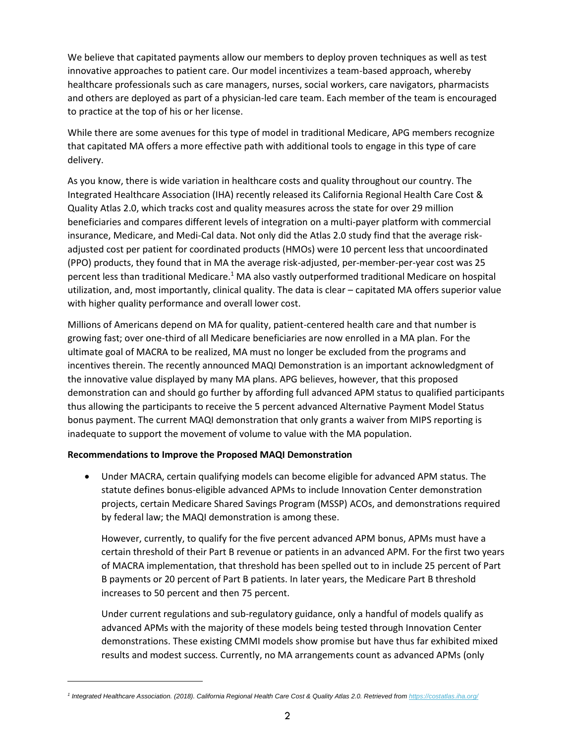We believe that capitated payments allow our members to deploy proven techniques as well as test innovative approaches to patient care. Our model incentivizes a team-based approach, whereby healthcare professionals such as care managers, nurses, social workers, care navigators, pharmacists and others are deployed as part of a physician-led care team. Each member of the team is encouraged to practice at the top of his or her license.

While there are some avenues for this type of model in traditional Medicare, APG members recognize that capitated MA offers a more effective path with additional tools to engage in this type of care delivery.

As you know, there is wide variation in healthcare costs and quality throughout our country. The Integrated Healthcare Association (IHA) recently released its California Regional Health Care Cost & Quality Atlas 2.0, which tracks cost and quality measures across the state for over 29 million beneficiaries and compares different levels of integration on a multi-payer platform with commercial insurance, Medicare, and Medi-Cal data. Not only did the Atlas 2.0 study find that the average riskadjusted cost per patient for coordinated products (HMOs) were 10 percent less that uncoordinated (PPO) products, they found that in MA the average risk-adjusted, per-member-per-year cost was 25 percent less than traditional Medicare.<sup>1</sup> MA also vastly outperformed traditional Medicare on hospital utilization, and, most importantly, clinical quality. The data is clear – capitated MA offers superior value with higher quality performance and overall lower cost.

Millions of Americans depend on MA for quality, patient-centered health care and that number is growing fast; over one-third of all Medicare beneficiaries are now enrolled in a MA plan. For the ultimate goal of MACRA to be realized, MA must no longer be excluded from the programs and incentives therein. The recently announced MAQI Demonstration is an important acknowledgment of the innovative value displayed by many MA plans. APG believes, however, that this proposed demonstration can and should go further by affording full advanced APM status to qualified participants thus allowing the participants to receive the 5 percent advanced Alternative Payment Model Status bonus payment. The current MAQI demonstration that only grants a waiver from MIPS reporting is inadequate to support the movement of volume to value with the MA population.

## **Recommendations to Improve the Proposed MAQI Demonstration**

• Under MACRA, certain qualifying models can become eligible for advanced APM status. The statute defines bonus-eligible advanced APMs to include Innovation Center demonstration projects, certain Medicare Shared Savings Program (MSSP) ACOs, and demonstrations required by federal law; the MAQI demonstration is among these.

However, currently, to qualify for the five percent advanced APM bonus, APMs must have a certain threshold of their Part B revenue or patients in an advanced APM. For the first two years of MACRA implementation, that threshold has been spelled out to in include 25 percent of Part B payments or 20 percent of Part B patients. In later years, the Medicare Part B threshold increases to 50 percent and then 75 percent.

Under current regulations and sub-regulatory guidance, only a handful of models qualify as advanced APMs with the majority of these models being tested through Innovation Center demonstrations. These existing CMMI models show promise but have thus far exhibited mixed results and modest success. Currently, no MA arrangements count as advanced APMs (only

*<sup>1</sup> Integrated Healthcare Association. (2018). California Regional Health Care Cost & Quality Atlas 2.0. Retrieved fro[m https://costatlas.iha.org/](https://costatlas.iha.org/)*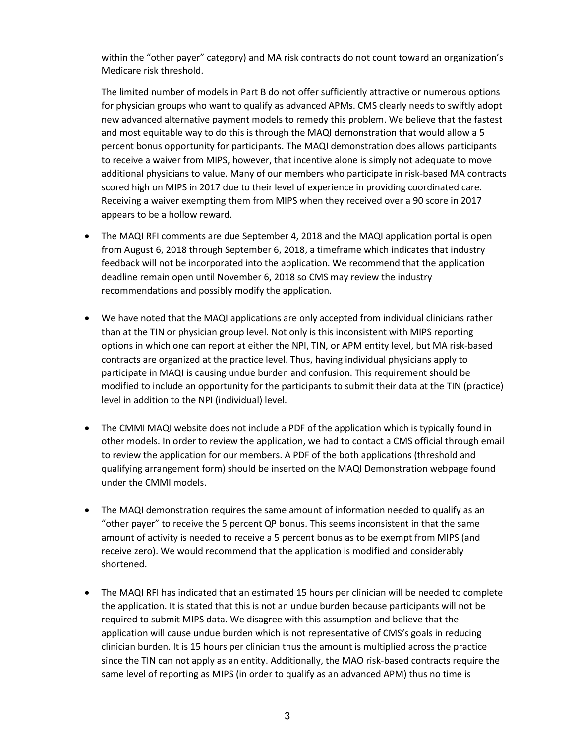within the "other payer" category) and MA risk contracts do not count toward an organization's Medicare risk threshold.

The limited number of models in Part B do not offer sufficiently attractive or numerous options for physician groups who want to qualify as advanced APMs. CMS clearly needs to swiftly adopt new advanced alternative payment models to remedy this problem. We believe that the fastest and most equitable way to do this is through the MAQI demonstration that would allow a 5 percent bonus opportunity for participants. The MAQI demonstration does allows participants to receive a waiver from MIPS, however, that incentive alone is simply not adequate to move additional physicians to value. Many of our members who participate in risk-based MA contracts scored high on MIPS in 2017 due to their level of experience in providing coordinated care. Receiving a waiver exempting them from MIPS when they received over a 90 score in 2017 appears to be a hollow reward.

- The MAQI RFI comments are due September 4, 2018 and the MAQI application portal is open from August 6, 2018 through September 6, 2018, a timeframe which indicates that industry feedback will not be incorporated into the application. We recommend that the application deadline remain open until November 6, 2018 so CMS may review the industry recommendations and possibly modify the application.
- We have noted that the MAQI applications are only accepted from individual clinicians rather than at the TIN or physician group level. Not only is this inconsistent with MIPS reporting options in which one can report at either the NPI, TIN, or APM entity level, but MA risk-based contracts are organized at the practice level. Thus, having individual physicians apply to participate in MAQI is causing undue burden and confusion. This requirement should be modified to include an opportunity for the participants to submit their data at the TIN (practice) level in addition to the NPI (individual) level.
- The CMMI MAQI website does not include a PDF of the application which is typically found in other models. In order to review the application, we had to contact a CMS official through email to review the application for our members. A PDF of the both applications (threshold and qualifying arrangement form) should be inserted on the MAQI Demonstration webpage found under the CMMI models.
- The MAQI demonstration requires the same amount of information needed to qualify as an "other payer" to receive the 5 percent QP bonus. This seems inconsistent in that the same amount of activity is needed to receive a 5 percent bonus as to be exempt from MIPS (and receive zero). We would recommend that the application is modified and considerably shortened.
- The MAQI RFI has indicated that an estimated 15 hours per clinician will be needed to complete the application. It is stated that this is not an undue burden because participants will not be required to submit MIPS data. We disagree with this assumption and believe that the application will cause undue burden which is not representative of CMS's goals in reducing clinician burden. It is 15 hours per clinician thus the amount is multiplied across the practice since the TIN can not apply as an entity. Additionally, the MAO risk-based contracts require the same level of reporting as MIPS (in order to qualify as an advanced APM) thus no time is